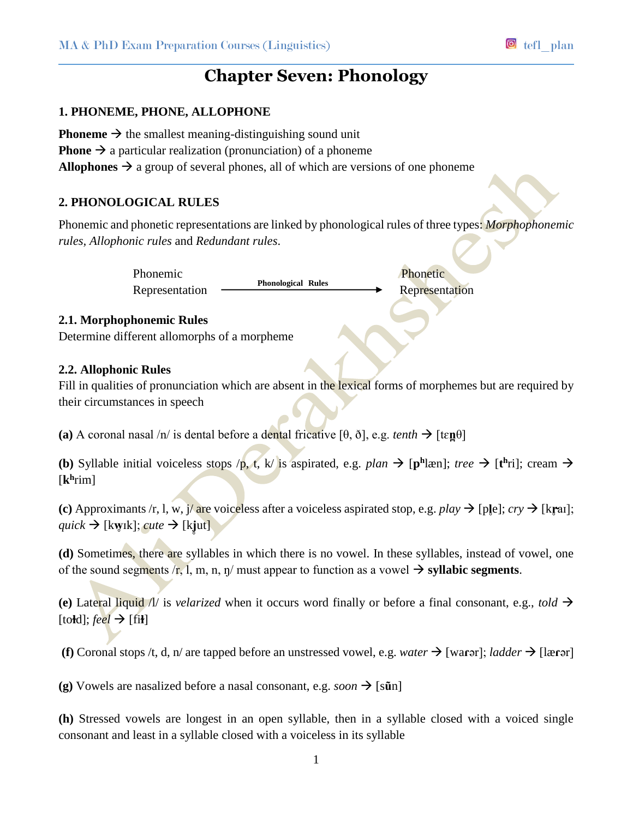# **Chapter Seven: Phonology**

#### **1. PHONEME, PHONE, ALLOPHONE**

**Phoneme**  $\rightarrow$  the smallest meaning-distinguishing sound unit **Phone**  $\rightarrow$  a particular realization (pronunciation) of a phoneme **Allophones**  $\rightarrow$  a group of several phones, all of which are versions of one phoneme

#### **2. PHONOLOGICAL RULES**

Phonemic and phonetic representations are linked by phonological rules of three types: *Morphophonemic rules, Allophonic rules* and *Redundant rules*.

**Phonological Rules**

Phonemic Phonetic Phonetic Phonetic Phonetic Phonetic Phonetic Phonetic Phonetic Phonetic Phonetic Phonetic Phonetic Phonetic Phonetic Phonetic Phonetic Phonetic Phonetic Phonetic Phonetic Phonetic Phonetic Phonetic Phonet Representation — **Example Representation** Representation

#### **2.1. Morphophonemic Rules**

Determine different allomorphs of a morpheme

#### **2.2. Allophonic Rules**

Fill in qualities of pronunciation which are absent in the lexical forms of morphemes but are required by their circumstances in speech

**(a)** A coronal nasal  $/n/$  is dental before a dental fricative  $[\theta, \delta]$ , e.g. *tenth*  $\rightarrow$   $[\text{te} \mathbf{n} \theta]$ 

**(b)** Syllable initial voiceless stops /p, t, k/ is aspirated, e.g. *plan*  $\rightarrow$  [ph læn]; *tree*  $\rightarrow$  [th ri]; cream  $\rightarrow$ [**k h** rim]

**(c)** Approximants /r, l, w,  $\frac{\partial}{\partial r}$  are voiceless after a voiceless aspirated stop, e.g. *play*  $\rightarrow$  [ple]; *cry*  $\rightarrow$  [krai];  $quick \rightarrow$  [kwɪk]; *cute*  $\rightarrow$  [kjut]

**(d)** Sometimes, there are syllables in which there is no vowel. In these syllables, instead of vowel, one of the sound segments  $/r$ , l, m, n, n/ must appear to function as a vowel  $\rightarrow$  syllabic segments.

**(e)** Lateral liquid  $\hat{\Lambda}$  is *velarized* when it occurs word finally or before a final consonant, e.g., *told*  $\rightarrow$  $[$ to**ł**d $]$ ; *feel*  $\rightarrow$   $[$ fi**ł** $]$ 

**(f)** Coronal stops /t, d, n/ are tapped before an unstressed vowel, e.g. *water*  $\rightarrow$  [warar]; *ladder*  $\rightarrow$  [lærər]

**(g)** Vowels are nasalized before a nasal consonant, e.g. *soon*  $\rightarrow$  [s**ū**n]

**(h)** Stressed vowels are longest in an open syllable, then in a syllable closed with a voiced single consonant and least in a syllable closed with a voiceless in its syllable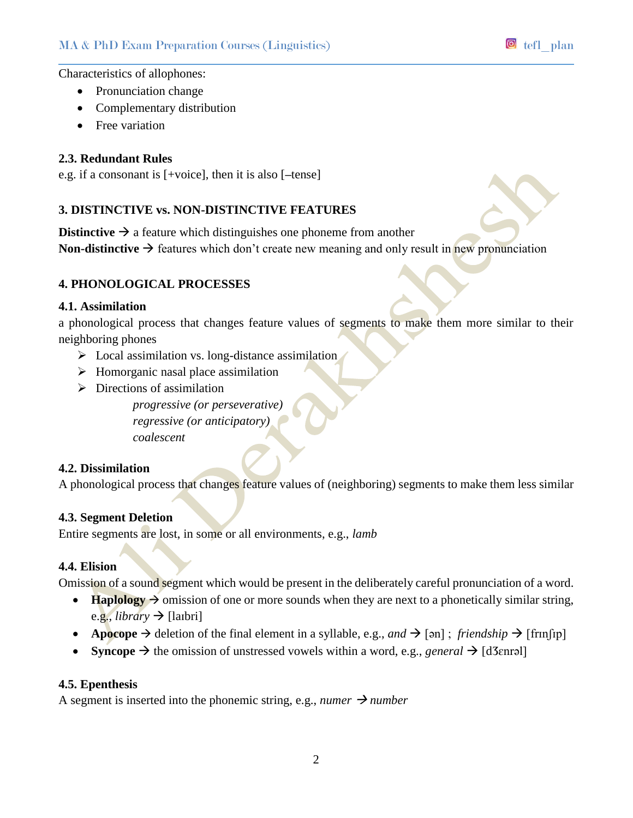Characteristics of allophones:

- Pronunciation change
- Complementary distribution
- Free variation

#### **2.3. Redundant Rules**

e.g. if a consonant is [+voice], then it is also [**–**tense]

### **3. DISTINCTIVE vs. NON-DISTINCTIVE FEATURES**

**Distinctive**  $\rightarrow$  a feature which distinguishes one phoneme from another **Non-distinctive**  $\rightarrow$  features which don't create new meaning and only result in new pronunciation

#### **4. PHONOLOGICAL PROCESSES**

#### **4.1. Assimilation**

a phonological process that changes feature values of segments to make them more similar to their neighboring phones

- $\triangleright$  Local assimilation vs. long-distance assimilation
- $\triangleright$  Homorganic nasal place assimilation
- $\triangleright$  Directions of assimilation

*progressive (or perseverative) regressive (or anticipatory) coalescent*

#### **4.2. Dissimilation**

A phonological process that changes feature values of (neighboring) segments to make them less similar

#### **4.3. Segment Deletion**

Entire segments are lost, in some or all environments, e.g., *lamb*

#### **4.4. Elision**

Omission of a sound segment which would be present in the deliberately careful pronunciation of a word.

- **Haplology**  $\rightarrow$  omission of one or more sounds when they are next to a phonetically similar string, e.g., *library*  $\rightarrow$  [laibri]
- **• Apocope**  $\rightarrow$  deletion of the final element in a syllable, e.g., and  $\rightarrow$  [ən]; *friendship*  $\rightarrow$  [frinfip]
- **Syncope**  $\rightarrow$  the omission of unstressed vowels within a word, e.g., *general*  $\rightarrow$  [d3enrəl]

#### **4.5. Epenthesis**

A segment is inserted into the phonemic string, e.g., *numer*  $\rightarrow$  *number*